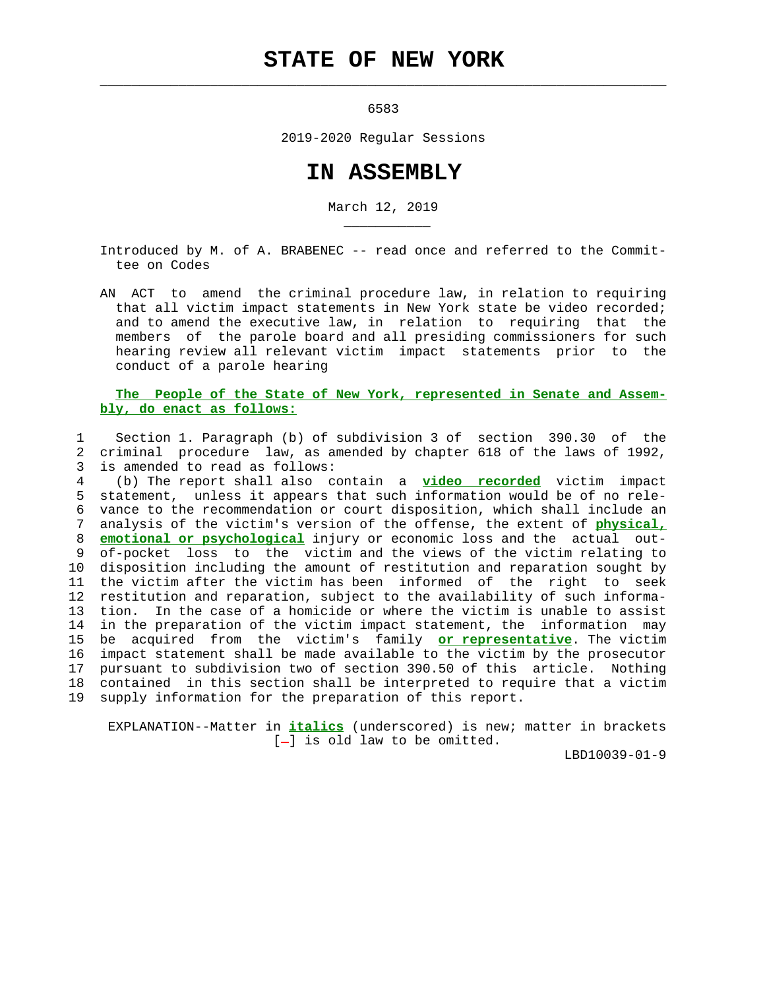## **STATE OF NEW YORK**

 $\mathcal{L}_\text{max} = \frac{1}{2} \sum_{i=1}^{n} \frac{1}{2} \sum_{i=1}^{n} \frac{1}{2} \sum_{i=1}^{n} \frac{1}{2} \sum_{i=1}^{n} \frac{1}{2} \sum_{i=1}^{n} \frac{1}{2} \sum_{i=1}^{n} \frac{1}{2} \sum_{i=1}^{n} \frac{1}{2} \sum_{i=1}^{n} \frac{1}{2} \sum_{i=1}^{n} \frac{1}{2} \sum_{i=1}^{n} \frac{1}{2} \sum_{i=1}^{n} \frac{1}{2} \sum_{i=1}^{n} \frac{1$ 

\_\_\_\_\_\_\_\_\_\_\_

 $6583$ 

2019-2020 Regular Sessions

## **IN ASSEMBLY**

March 12, 2019

 Introduced by M. of A. BRABENEC -- read once and referred to the Commit tee on Codes

 AN ACT to amend the criminal procedure law, in relation to requiring that all victim impact statements in New York state be video recorded; and to amend the executive law, in relation to requiring that the members of the parole board and all presiding commissioners for such hearing review all relevant victim impact statements prior to the conduct of a parole hearing

## **The People of the State of New York, represented in Senate and Assem bly, do enact as follows:**

 1 Section 1. Paragraph (b) of subdivision 3 of section 390.30 of the 2 criminal procedure law, as amended by chapter 618 of the laws of 1992, 3 is amended to read as follows:

 4 (b) The report shall also contain a **video recorded** victim impact 5 statement, unless it appears that such information would be of no rele- 6 vance to the recommendation or court disposition, which shall include an 7 analysis of the victim's version of the offense, the extent of **physical,** 8 **emotional or psychological** injury or economic loss and the actual out- 9 of-pocket loss to the victim and the views of the victim relating to 10 disposition including the amount of restitution and reparation sought by 11 the victim after the victim has been informed of the right to seek 12 restitution and reparation, subject to the availability of such informa- 13 tion. In the case of a homicide or where the victim is unable to assist 14 in the preparation of the victim impact statement, the information may 15 be acquired from the victim's family **or representative**. The victim 16 impact statement shall be made available to the victim by the prosecutor 17 pursuant to subdivision two of section 390.50 of this article. Nothing 18 contained in this section shall be interpreted to require that a victim 19 supply information for the preparation of this report.

 EXPLANATION--Matter in **italics** (underscored) is new; matter in brackets  $[-]$  is old law to be omitted.

LBD10039-01-9